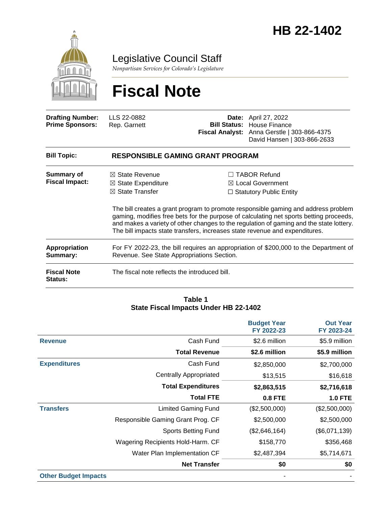

Legislative Council Staff

*Nonpartisan Services for Colorado's Legislature*

# **Fiscal Note**

| <b>Drafting Number:</b><br><b>Prime Sponsors:</b> | LLS 22-0882<br>Rep. Garnett                                                                                                        | Date: | April 27, 2022<br><b>Bill Status: House Finance</b><br>Fiscal Analyst: Anna Gerstle   303-866-4375<br>David Hansen   303-866-2633                                                                                                                                                                                                                                                                                                               |  |  |
|---------------------------------------------------|------------------------------------------------------------------------------------------------------------------------------------|-------|-------------------------------------------------------------------------------------------------------------------------------------------------------------------------------------------------------------------------------------------------------------------------------------------------------------------------------------------------------------------------------------------------------------------------------------------------|--|--|
| <b>Bill Topic:</b>                                | <b>RESPONSIBLE GAMING GRANT PROGRAM</b>                                                                                            |       |                                                                                                                                                                                                                                                                                                                                                                                                                                                 |  |  |
| <b>Summary of</b><br><b>Fiscal Impact:</b>        | $\boxtimes$ State Revenue<br>$\boxtimes$ State Expenditure<br>$\boxtimes$ State Transfer                                           |       | $\Box$ TABOR Refund<br>$\boxtimes$ Local Government<br>$\Box$ Statutory Public Entity<br>The bill creates a grant program to promote responsible gaming and address problem<br>gaming, modifies free bets for the purpose of calculating net sports betting proceeds,<br>and makes a variety of other changes to the regulation of gaming and the state lottery.<br>The bill impacts state transfers, increases state revenue and expenditures. |  |  |
| <b>Appropriation</b><br>Summary:                  | For FY 2022-23, the bill requires an appropriation of \$200,000 to the Department of<br>Revenue. See State Appropriations Section. |       |                                                                                                                                                                                                                                                                                                                                                                                                                                                 |  |  |
| <b>Fiscal Note</b><br><b>Status:</b>              | The fiscal note reflects the introduced bill.                                                                                      |       |                                                                                                                                                                                                                                                                                                                                                                                                                                                 |  |  |

#### **Table 1 State Fiscal Impacts Under HB 22-1402**

|                             |                                   | <b>Budget Year</b><br>FY 2022-23 | <b>Out Year</b><br>FY 2023-24 |
|-----------------------------|-----------------------------------|----------------------------------|-------------------------------|
| <b>Revenue</b>              | Cash Fund                         | \$2.6 million                    | \$5.9 million                 |
|                             | <b>Total Revenue</b>              | \$2.6 million                    | \$5.9 million                 |
| <b>Expenditures</b>         | Cash Fund                         | \$2,850,000                      | \$2,700,000                   |
|                             | <b>Centrally Appropriated</b>     | \$13,515                         | \$16,618                      |
|                             | <b>Total Expenditures</b>         | \$2,863,515                      | \$2,716,618                   |
|                             | <b>Total FTE</b>                  | <b>0.8 FTE</b>                   | <b>1.0 FTE</b>                |
| <b>Transfers</b>            | <b>Limited Gaming Fund</b>        | (\$2,500,000)                    | (\$2,500,000)                 |
|                             | Responsible Gaming Grant Prog. CF | \$2,500,000                      | \$2,500,000                   |
|                             | <b>Sports Betting Fund</b>        | (\$2,646,164)                    | (\$6,071,139)                 |
|                             | Wagering Recipients Hold-Harm. CF | \$158,770                        | \$356,468                     |
|                             | Water Plan Implementation CF      | \$2,487,394                      | \$5,714,671                   |
|                             | <b>Net Transfer</b>               | \$0                              | \$0                           |
| <b>Other Budget Impacts</b> |                                   |                                  |                               |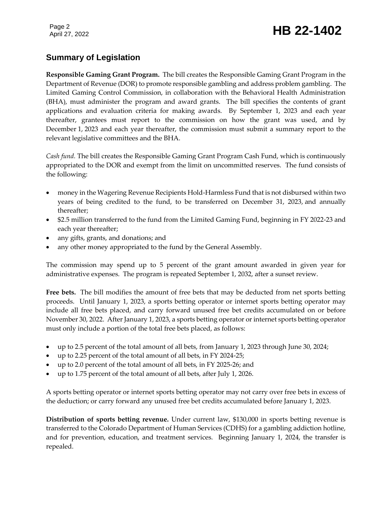# Page 2<br>April 27, 2022 **HB 22-1402**

### **Summary of Legislation**

**Responsible Gaming Grant Program.** The bill creates the Responsible Gaming Grant Program in the Department of Revenue (DOR) to promote responsible gambling and address problem gambling. The Limited Gaming Control Commission, in collaboration with the Behavioral Health Administration (BHA), must administer the program and award grants. The bill specifies the contents of grant applications and evaluation criteria for making awards. By September 1, 2023 and each year thereafter, grantees must report to the commission on how the grant was used, and by December 1, 2023 and each year thereafter, the commission must submit a summary report to the relevant legislative committees and the BHA.

*Cash fund.* The bill creates the Responsible Gaming Grant Program Cash Fund, which is continuously appropriated to the DOR and exempt from the limit on uncommitted reserves. The fund consists of the following:

- money in the Wagering Revenue Recipients Hold-Harmless Fund that is not disbursed within two years of being credited to the fund, to be transferred on December 31, 2023, and annually thereafter;
- \$2.5 million transferred to the fund from the Limited Gaming Fund, beginning in FY 2022-23 and each year thereafter;
- any gifts, grants, and donations; and
- any other money appropriated to the fund by the General Assembly.

The commission may spend up to 5 percent of the grant amount awarded in given year for administrative expenses. The program is repeated September 1, 2032, after a sunset review.

**Free bets.** The bill modifies the amount of free bets that may be deducted from net sports betting proceeds. Until January 1, 2023, a sports betting operator or internet sports betting operator may include all free bets placed, and carry forward unused free bet credits accumulated on or before November 30, 2022. After January 1, 2023, a sports betting operator or internet sports betting operator must only include a portion of the total free bets placed, as follows:

- up to 2.5 percent of the total amount of all bets, from January 1, 2023 through June 30, 2024;
- up to 2.25 percent of the total amount of all bets, in FY 2024-25;
- up to 2.0 percent of the total amount of all bets, in FY 2025-26; and
- up to 1.75 percent of the total amount of all bets, after July 1, 2026.

A sports betting operator or internet sports betting operator may not carry over free bets in excess of the deduction; or carry forward any unused free bet credits accumulated before January 1, 2023.

**Distribution of sports betting revenue.** Under current law, \$130,000 in sports betting revenue is transferred to the Colorado Department of Human Services (CDHS) for a gambling addiction hotline, and for prevention, education, and treatment services. Beginning January 1, 2024, the transfer is repealed.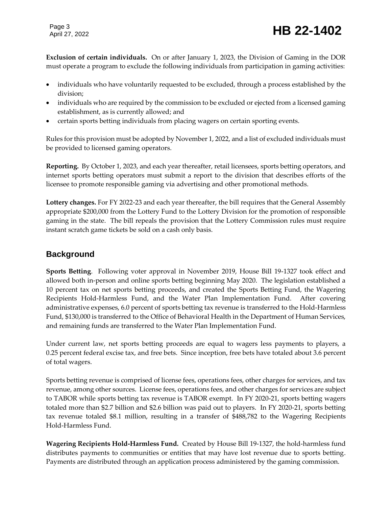Page 3

# Page 3<br>April 27, 2022 **HB 22-1402**

**Exclusion of certain individuals.** On or after January 1, 2023, the Division of Gaming in the DOR must operate a program to exclude the following individuals from participation in gaming activities:

- individuals who have voluntarily requested to be excluded, through a process established by the division;
- individuals who are required by the commission to be excluded or ejected from a licensed gaming establishment, as is currently allowed; and
- certain sports betting individuals from placing wagers on certain sporting events.

Rules for this provision must be adopted by November 1, 2022, and a list of excluded individuals must be provided to licensed gaming operators.

**Reporting.** By October 1, 2023, and each year thereafter, retail licensees, sports betting operators, and internet sports betting operators must submit a report to the division that describes efforts of the licensee to promote responsible gaming via advertising and other promotional methods.

**Lottery changes.** For FY 2022-23 and each year thereafter, the bill requires that the General Assembly appropriate \$200,000 from the Lottery Fund to the Lottery Division for the promotion of responsible gaming in the state. The bill repeals the provision that the Lottery Commission rules must require instant scratch game tickets be sold on a cash only basis.

### **Background**

**Sports Betting**. Following voter approval in November 2019, House Bill 19-1327 took effect and allowed both in-person and online sports betting beginning May 2020. The legislation established a 10 percent tax on net sports betting proceeds, and created the Sports Betting Fund, the Wagering Recipients Hold-Harmless Fund, and the Water Plan Implementation Fund. After covering administrative expenses, 6.0 percent of sports betting tax revenue is transferred to the Hold-Harmless Fund, \$130,000 is transferred to the Office of Behavioral Health in the Department of Human Services, and remaining funds are transferred to the Water Plan Implementation Fund.

Under current law, net sports betting proceeds are equal to wagers less payments to players, a 0.25 percent federal excise tax, and free bets. Since inception, free bets have totaled about 3.6 percent of total wagers.

Sports betting revenue is comprised of license fees, operations fees, other charges for services, and tax revenue, among other sources. License fees, operations fees, and other charges for services are subject to TABOR while sports betting tax revenue is TABOR exempt. In FY 2020-21, sports betting wagers totaled more than \$2.7 billion and \$2.6 billion was paid out to players. In FY 2020-21, sports betting tax revenue totaled \$8.1 million, resulting in a transfer of \$488,782 to the Wagering Recipients Hold-Harmless Fund.

**Wagering Recipients Hold-Harmless Fund.** Created by House Bill 19-1327, the hold-harmless fund distributes payments to communities or entities that may have lost revenue due to sports betting. Payments are distributed through an application process administered by the gaming commission.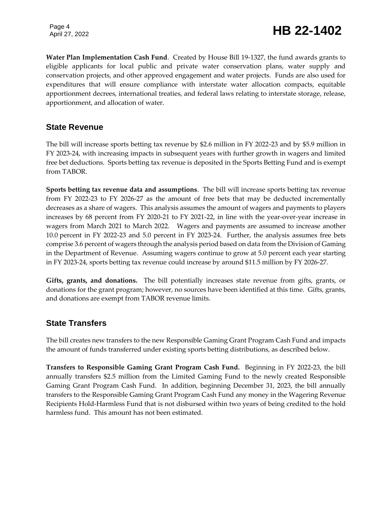Page 4

**Water Plan Implementation Cash Fund**. Created by House Bill 19-1327, the fund awards grants to eligible applicants for local public and private water conservation plans, water supply and conservation projects, and other approved engagement and water projects. Funds are also used for expenditures that will ensure compliance with interstate water allocation compacts, equitable apportionment decrees, international treaties, and federal laws relating to interstate storage, release, apportionment, and allocation of water.

### **State Revenue**

The bill will increase sports betting tax revenue by \$2.6 million in FY 2022-23 and by \$5.9 million in FY 2023-24, with increasing impacts in subsequent years with further growth in wagers and limited free bet deductions. Sports betting tax revenue is deposited in the Sports Betting Fund and is exempt from TABOR.

**Sports betting tax revenue data and assumptions**. The bill will increase sports betting tax revenue from FY 2022-23 to FY 2026-27 as the amount of free bets that may be deducted incrementally decreases as a share of wagers. This analysis assumes the amount of wagers and payments to players increases by 68 percent from FY 2020-21 to FY 2021-22, in line with the year-over-year increase in wagers from March 2021 to March 2022. Wagers and payments are assumed to increase another 10.0 percent in FY 2022-23 and 5.0 percent in FY 2023-24. Further, the analysis assumes free bets comprise 3.6 percent of wagers through the analysis period based on data from the Division of Gaming in the Department of Revenue. Assuming wagers continue to grow at 5.0 percent each year starting in FY 2023-24, sports betting tax revenue could increase by around \$11.5 million by FY 2026-27.

**Gifts, grants, and donations.** The bill potentially increases state revenue from gifts, grants, or donations for the grant program; however, no sources have been identified at this time. Gifts, grants, and donations are exempt from TABOR revenue limits.

### **State Transfers**

The bill creates new transfers to the new Responsible Gaming Grant Program Cash Fund and impacts the amount of funds transferred under existing sports betting distributions, as described below.

**Transfers to Responsible Gaming Grant Program Cash Fund.** Beginning in FY 2022-23, the bill annually transfers \$2.5 million from the Limited Gaming Fund to the newly created Responsible Gaming Grant Program Cash Fund. In addition, beginning December 31, 2023, the bill annually transfers to the Responsible Gaming Grant Program Cash Fund any money in the Wagering Revenue Recipients Hold-Harmless Fund that is not disbursed within two years of being credited to the hold harmless fund. This amount has not been estimated.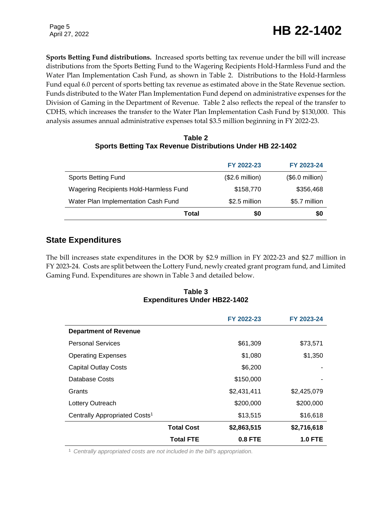### Page 5<br>April 27, 2022 **HB 22-1402**

Page 5

**Sports Betting Fund distributions.** Increased sports betting tax revenue under the bill will increase distributions from the Sports Betting Fund to the Wagering Recipients Hold-Harmless Fund and the Water Plan Implementation Cash Fund, as shown in Table 2. Distributions to the Hold-Harmless Fund equal 6.0 percent of sports betting tax revenue as estimated above in the State Revenue section. Funds distributed to the Water Plan Implementation Fund depend on administrative expenses for the Division of Gaming in the Department of Revenue. Table 2 also reflects the repeal of the transfer to CDHS, which increases the transfer to the Water Plan Implementation Cash Fund by \$130,000. This analysis assumes annual administrative expenses total \$3.5 million beginning in FY 2022-23.

| Table 2                                                   |  |
|-----------------------------------------------------------|--|
| Sports Betting Tax Revenue Distributions Under HB 22-1402 |  |

| Total                                  | \$0                      | \$0             |
|----------------------------------------|--------------------------|-----------------|
| Water Plan Implementation Cash Fund    | \$2.5 million            | \$5.7 million   |
| Wagering Recipients Hold-Harmless Fund | \$158,770                | \$356,468       |
| <b>Sports Betting Fund</b>             | $($2.6 \text{ million})$ | $($.0$ million) |
|                                        | FY 2022-23               | FY 2023-24      |

### **State Expenditures**

The bill increases state expenditures in the DOR by \$2.9 million in FY 2022-23 and \$2.7 million in FY 2023-24. Costs are split between the Lottery Fund, newly created grant program fund, and Limited Gaming Fund. Expenditures are shown in Table 3 and detailed below.

#### **Table 3 Expenditures Under HB22-1402**

|                                           |                   | FY 2022-23  | FY 2023-24     |
|-------------------------------------------|-------------------|-------------|----------------|
| <b>Department of Revenue</b>              |                   |             |                |
| <b>Personal Services</b>                  |                   | \$61,309    | \$73,571       |
| <b>Operating Expenses</b>                 |                   | \$1,080     | \$1,350        |
| <b>Capital Outlay Costs</b>               |                   | \$6,200     |                |
| Database Costs                            |                   | \$150,000   |                |
| Grants                                    |                   | \$2,431,411 | \$2,425,079    |
| Lottery Outreach                          |                   | \$200,000   | \$200,000      |
| Centrally Appropriated Costs <sup>1</sup> |                   | \$13,515    | \$16,618       |
|                                           | <b>Total Cost</b> | \$2,863,515 | \$2,716,618    |
|                                           | <b>Total FTE</b>  | $0.8$ FTE   | <b>1.0 FTE</b> |

<sup>1</sup> *Centrally appropriated costs are not included in the bill's appropriation.*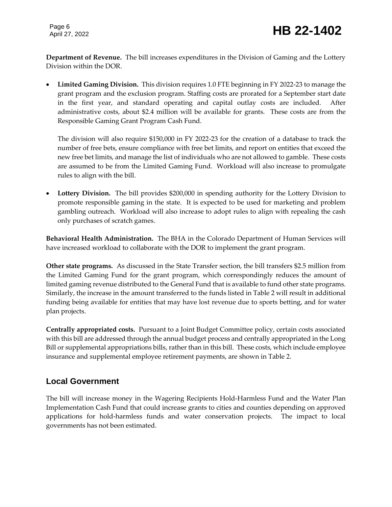**Department of Revenue.** The bill increases expenditures in the Division of Gaming and the Lottery Division within the DOR.

 **Limited Gaming Division.** This division requires 1.0 FTE beginning in FY 2022-23 to manage the grant program and the exclusion program. Staffing costs are prorated for a September start date in the first year, and standard operating and capital outlay costs are included. After administrative costs, about \$2.4 million will be available for grants. These costs are from the Responsible Gaming Grant Program Cash Fund.

The division will also require \$150,000 in FY 2022-23 for the creation of a database to track the number of free bets, ensure compliance with free bet limits, and report on entities that exceed the new free bet limits, and manage the list of individuals who are not allowed to gamble. These costs are assumed to be from the Limited Gaming Fund. Workload will also increase to promulgate rules to align with the bill.

 **Lottery Division.** The bill provides \$200,000 in spending authority for the Lottery Division to promote responsible gaming in the state. It is expected to be used for marketing and problem gambling outreach. Workload will also increase to adopt rules to align with repealing the cash only purchases of scratch games.

**Behavioral Health Administration.** The BHA in the Colorado Department of Human Services will have increased workload to collaborate with the DOR to implement the grant program.

**Other state programs.** As discussed in the State Transfer section, the bill transfers \$2.5 million from the Limited Gaming Fund for the grant program, which correspondingly reduces the amount of limited gaming revenue distributed to the General Fund that is available to fund other state programs. Similarly, the increase in the amount transferred to the funds listed in Table 2 will result in additional funding being available for entities that may have lost revenue due to sports betting, and for water plan projects.

**Centrally appropriated costs.** Pursuant to a Joint Budget Committee policy, certain costs associated with this bill are addressed through the annual budget process and centrally appropriated in the Long Bill or supplemental appropriations bills, rather than in this bill. These costs, which include employee insurance and supplemental employee retirement payments, are shown in Table 2.

### **Local Government**

The bill will increase money in the Wagering Recipients Hold-Harmless Fund and the Water Plan Implementation Cash Fund that could increase grants to cities and counties depending on approved applications for hold-harmless funds and water conservation projects. The impact to local governments has not been estimated.